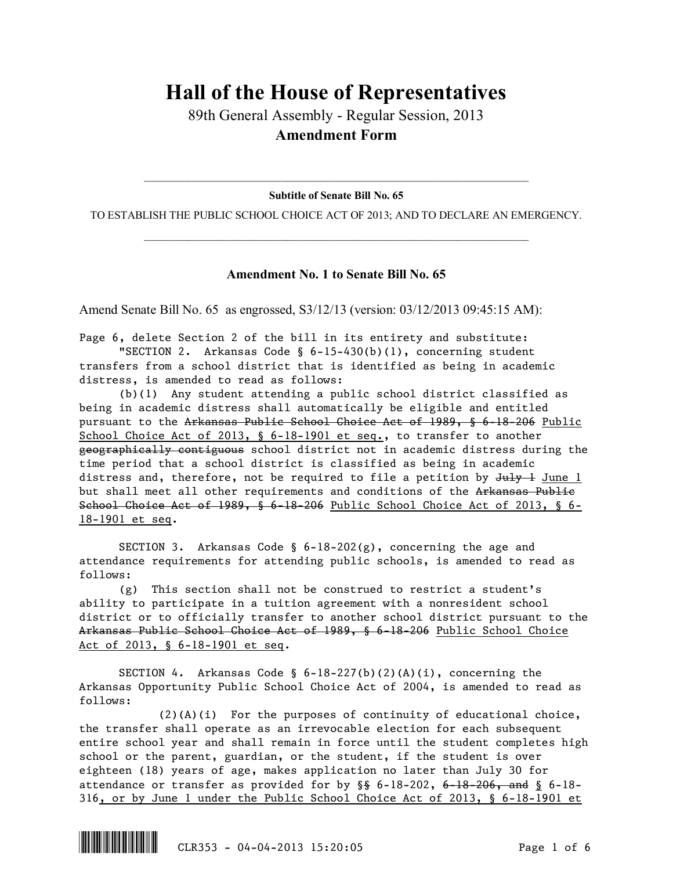## **Hall of the House of Representatives**

89th General Assembly - Regular Session, 2013 **Amendment Form**

 $\mathcal{L}_\text{max}$  and  $\mathcal{L}_\text{max}$  and  $\mathcal{L}_\text{max}$  and  $\mathcal{L}_\text{max}$  and  $\mathcal{L}_\text{max}$  and  $\mathcal{L}_\text{max}$ **Subtitle of Senate Bill No. 65**

TO ESTABLISH THE PUBLIC SCHOOL CHOICE ACT OF 2013; AND TO DECLARE AN EMERGENCY.  $\mathcal{L}_\text{max}$  and  $\mathcal{L}_\text{max}$  and  $\mathcal{L}_\text{max}$  and  $\mathcal{L}_\text{max}$  and  $\mathcal{L}_\text{max}$  and  $\mathcal{L}_\text{max}$ 

## **Amendment No. 1 to Senate Bill No. 65**

Amend Senate Bill No. 65 as engrossed, S3/12/13 (version: 03/12/2013 09:45:15 AM):

Page 6, delete Section 2 of the bill in its entirety and substitute: "SECTION 2. Arkansas Code §  $6-15-430(b)(1)$ , concerning student transfers from a school district that is identified as being in academic distress, is amended to read as follows:

(b)(1) Any student attending a public school district classified as being in academic distress shall automatically be eligible and entitled pursuant to the Arkansas Public School Choice Act of 1989, § 6-18-206 Public School Choice Act of 2013, § 6-18-1901 et seq., to transfer to another geographically contiguous school district not in academic distress during the time period that a school district is classified as being in academic distress and, therefore, not be required to file a petition by  $Ju\psi + Ju\psi$ but shall meet all other requirements and conditions of the Arkansas Public School Choice Act of 1989, § 6-18-206 Public School Choice Act of 2013, § 6- 18-1901 et seq.

SECTION 3. Arkansas Code §  $6-18-202(g)$ , concerning the age and attendance requirements for attending public schools, is amended to read as follows:

(g) This section shall not be construed to restrict a student's ability to participate in a tuition agreement with a nonresident school district or to officially transfer to another school district pursuant to the Arkansas Public School Choice Act of 1989, § 6-18-206 Public School Choice Act of 2013, § 6-18-1901 et seq.

SECTION 4. Arkansas Code §  $6-18-227(b)(2)(A)(i)$ , concerning the Arkansas Opportunity Public School Choice Act of 2004, is amended to read as follows:

(2)(A)(i) For the purposes of continuity of educational choice, the transfer shall operate as an irrevocable election for each subsequent entire school year and shall remain in force until the student completes high school or the parent, guardian, or the student, if the student is over eighteen (18) years of age, makes application no later than July 30 for attendance or transfer as provided for by  $\S$  6-18-202, 6-18-206, and  $\S$  6-18-316, or by June 1 under the Public School Choice Act of 2013, § 6-18-1901 et

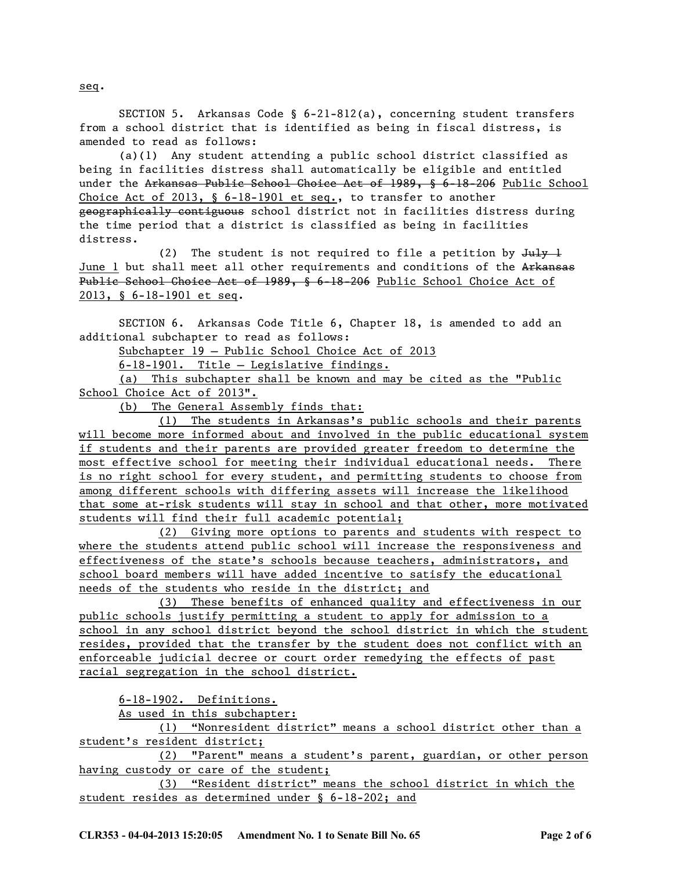SECTION 5. Arkansas Code § 6-21-812(a), concerning student transfers from a school district that is identified as being in fiscal distress, is amended to read as follows:

(a)(1) Any student attending a public school district classified as being in facilities distress shall automatically be eligible and entitled under the Arkansas Public School Choice Act of 1989, § 6-18-206 Public School Choice Act of 2013, § 6-18-1901 et seq., to transfer to another geographically contiguous school district not in facilities distress during the time period that a district is classified as being in facilities distress.

(2) The student is not required to file a petition by  $Ju\psi +$ June 1 but shall meet all other requirements and conditions of the Arkansas Public School Choice Act of 1989, § 6-18-206 Public School Choice Act of 2013, § 6-18-1901 et seq.

SECTION 6. Arkansas Code Title 6, Chapter 18, is amended to add an additional subchapter to read as follows:

Subchapter 19 — Public School Choice Act of 2013

6-18-1901. Title — Legislative findings.

(a) This subchapter shall be known and may be cited as the "Public School Choice Act of 2013".

(b) The General Assembly finds that:

(1) The students in Arkansas's public schools and their parents will become more informed about and involved in the public educational system if students and their parents are provided greater freedom to determine the most effective school for meeting their individual educational needs. There is no right school for every student, and permitting students to choose from among different schools with differing assets will increase the likelihood that some at-risk students will stay in school and that other, more motivated students will find their full academic potential;

(2) Giving more options to parents and students with respect to where the students attend public school will increase the responsiveness and effectiveness of the state's schools because teachers, administrators, and school board members will have added incentive to satisfy the educational needs of the students who reside in the district; and

(3) These benefits of enhanced quality and effectiveness in our public schools justify permitting a student to apply for admission to a school in any school district beyond the school district in which the student resides, provided that the transfer by the student does not conflict with an enforceable judicial decree or court order remedying the effects of past racial segregation in the school district.

6-18-1902. Definitions.

As used in this subchapter:

(1) "Nonresident district" means a school district other than a student's resident district;

(2) "Parent" means a student's parent, guardian, or other person having custody or care of the student;

(3) "Resident district" means the school district in which the student resides as determined under § 6-18-202; and

seq.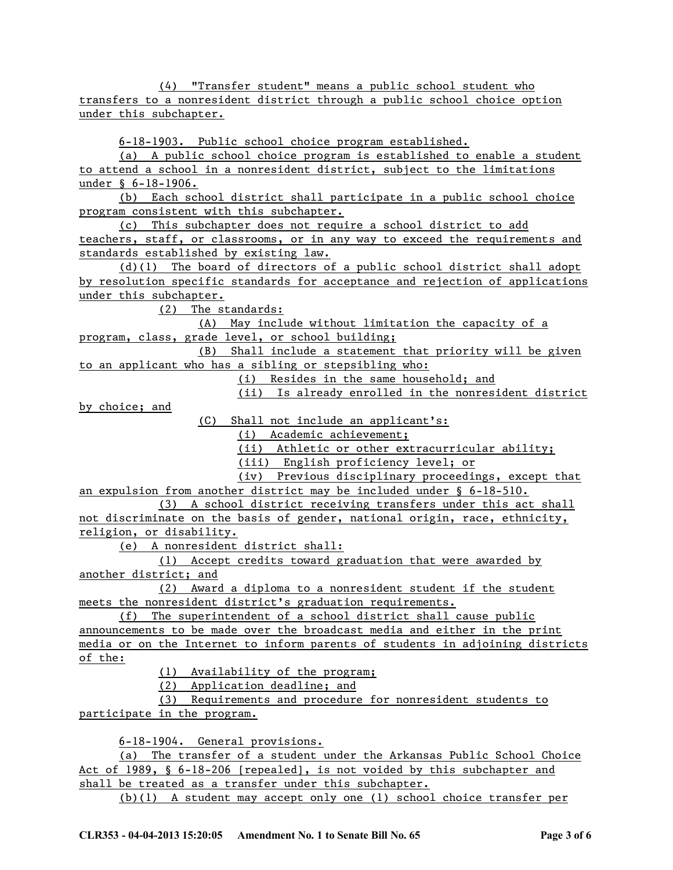(4) "Transfer student" means a public school student who transfers to a nonresident district through a public school choice option under this subchapter.

6-18-1903. Public school choice program established.

(a) A public school choice program is established to enable a student to attend a school in a nonresident district, subject to the limitations under § 6-18-1906.

(b) Each school district shall participate in a public school choice program consistent with this subchapter.

(c) This subchapter does not require a school district to add teachers, staff, or classrooms, or in any way to exceed the requirements and standards established by existing law.

(d)(1) The board of directors of a public school district shall adopt by resolution specific standards for acceptance and rejection of applications under this subchapter.

(2) The standards:

(A) May include without limitation the capacity of a program, class, grade level, or school building;

(B) Shall include a statement that priority will be given to an applicant who has a sibling or stepsibling who:

(i) Resides in the same household; and

(ii) Is already enrolled in the nonresident district

by choice; and

(C) Shall not include an applicant's:

(i) Academic achievement;

(ii) Athletic or other extracurricular ability;

(iii) English proficiency level; or

(iv) Previous disciplinary proceedings, except that

an expulsion from another district may be included under § 6-18-510. (3) A school district receiving transfers under this act shall

not discriminate on the basis of gender, national origin, race, ethnicity, religion, or disability.

(e) A nonresident district shall:

(1) Accept credits toward graduation that were awarded by another district; and

(2) Award a diploma to a nonresident student if the student meets the nonresident district's graduation requirements.

(f) The superintendent of a school district shall cause public announcements to be made over the broadcast media and either in the print media or on the Internet to inform parents of students in adjoining districts of the:

(1) Availability of the program;

(2) Application deadline; and

(3) Requirements and procedure for nonresident students to participate in the program.

6-18-1904. General provisions.

(a) The transfer of a student under the Arkansas Public School Choice Act of 1989, § 6-18-206 [repealed], is not voided by this subchapter and shall be treated as a transfer under this subchapter.

(b)(1) A student may accept only one (1) school choice transfer per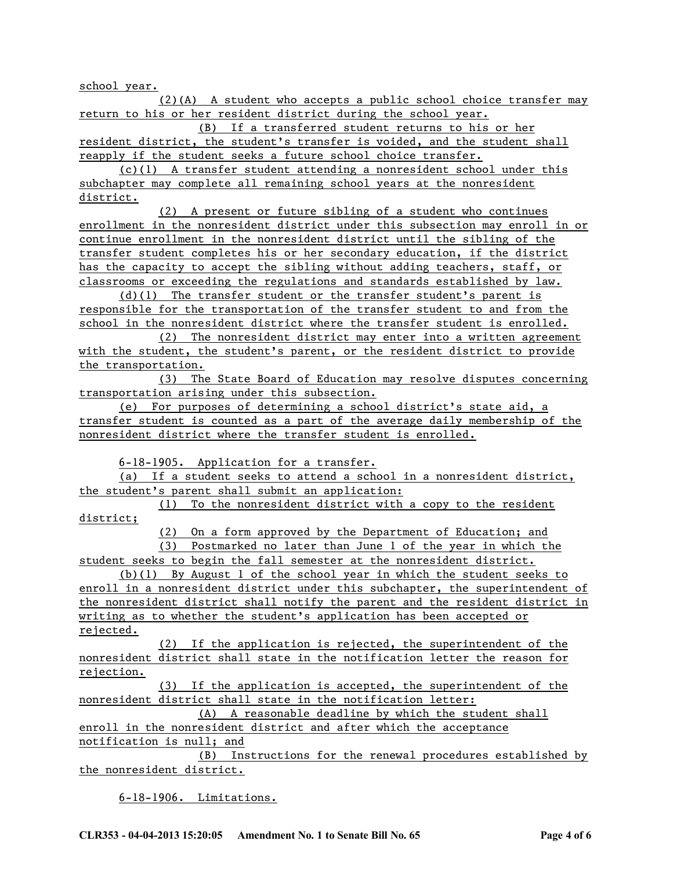school year.

(2)(A) A student who accepts a public school choice transfer may return to his or her resident district during the school year.

(B) If a transferred student returns to his or her resident district, the student's transfer is voided, and the student shall reapply if the student seeks a future school choice transfer.

(c)(1) A transfer student attending a nonresident school under this subchapter may complete all remaining school years at the nonresident district.

(2) A present or future sibling of a student who continues enrollment in the nonresident district under this subsection may enroll in or continue enrollment in the nonresident district until the sibling of the transfer student completes his or her secondary education, if the district has the capacity to accept the sibling without adding teachers, staff, or classrooms or exceeding the regulations and standards established by law.

(d)(1) The transfer student or the transfer student's parent is responsible for the transportation of the transfer student to and from the school in the nonresident district where the transfer student is enrolled.

(2) The nonresident district may enter into a written agreement with the student, the student's parent, or the resident district to provide the transportation.

(3) The State Board of Education may resolve disputes concerning transportation arising under this subsection.

(e) For purposes of determining a school district's state aid, a transfer student is counted as a part of the average daily membership of the nonresident district where the transfer student is enrolled.

6-18-1905. Application for a transfer.

(a) If a student seeks to attend a school in a nonresident district, the student's parent shall submit an application:

(1) To the nonresident district with a copy to the resident district;

(2) On a form approved by the Department of Education; and

(3) Postmarked no later than June 1 of the year in which the student seeks to begin the fall semester at the nonresident district.

(b)(1) By August 1 of the school year in which the student seeks to enroll in a nonresident district under this subchapter, the superintendent of the nonresident district shall notify the parent and the resident district in writing as to whether the student's application has been accepted or rejected.

(2) If the application is rejected, the superintendent of the nonresident district shall state in the notification letter the reason for rejection.

(3) If the application is accepted, the superintendent of the nonresident district shall state in the notification letter:

(A) A reasonable deadline by which the student shall enroll in the nonresident district and after which the acceptance notification is null; and

(B) Instructions for the renewal procedures established by the nonresident district.

6-18-1906. Limitations.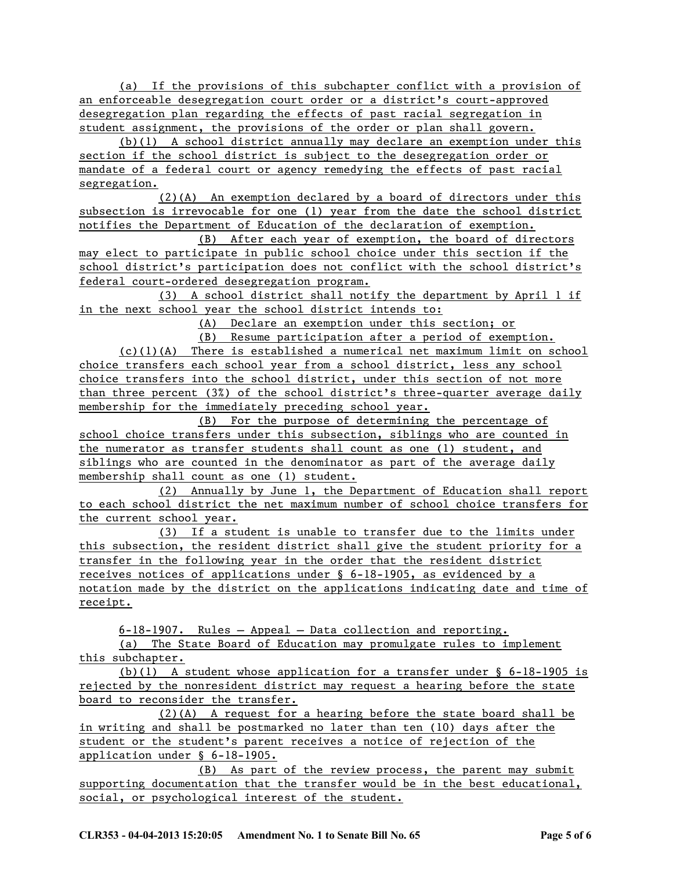(a) If the provisions of this subchapter conflict with a provision of an enforceable desegregation court order or a district's court-approved desegregation plan regarding the effects of past racial segregation in student assignment, the provisions of the order or plan shall govern.

(b)(1) A school district annually may declare an exemption under this section if the school district is subject to the desegregation order or mandate of a federal court or agency remedying the effects of past racial segregation.

(2)(A) An exemption declared by a board of directors under this subsection is irrevocable for one (1) year from the date the school district notifies the Department of Education of the declaration of exemption.

(B) After each year of exemption, the board of directors may elect to participate in public school choice under this section if the school district's participation does not conflict with the school district's federal court-ordered desegregation program.

(3) A school district shall notify the department by April 1 if in the next school year the school district intends to:

(A) Declare an exemption under this section; or

(B) Resume participation after a period of exemption. (c)(1)(A) There is established a numerical net maximum limit on school choice transfers each school year from a school district, less any school choice transfers into the school district, under this section of not more than three percent (3%) of the school district's three-quarter average daily membership for the immediately preceding school year.

(B) For the purpose of determining the percentage of school choice transfers under this subsection, siblings who are counted in the numerator as transfer students shall count as one (1) student, and siblings who are counted in the denominator as part of the average daily membership shall count as one (1) student.

(2) Annually by June 1, the Department of Education shall report to each school district the net maximum number of school choice transfers for the current school year.

(3) If a student is unable to transfer due to the limits under this subsection, the resident district shall give the student priority for a transfer in the following year in the order that the resident district receives notices of applications under § 6-18-1905, as evidenced by a notation made by the district on the applications indicating date and time of receipt.

6-18-1907. Rules — Appeal — Data collection and reporting.

(a) The State Board of Education may promulgate rules to implement this subchapter.

(b)(1) A student whose application for a transfer under § 6-18-1905 is rejected by the nonresident district may request a hearing before the state board to reconsider the transfer.

(2)(A) A request for a hearing before the state board shall be in writing and shall be postmarked no later than ten (10) days after the student or the student's parent receives a notice of rejection of the application under § 6-18-1905.

(B) As part of the review process, the parent may submit supporting documentation that the transfer would be in the best educational, social, or psychological interest of the student.